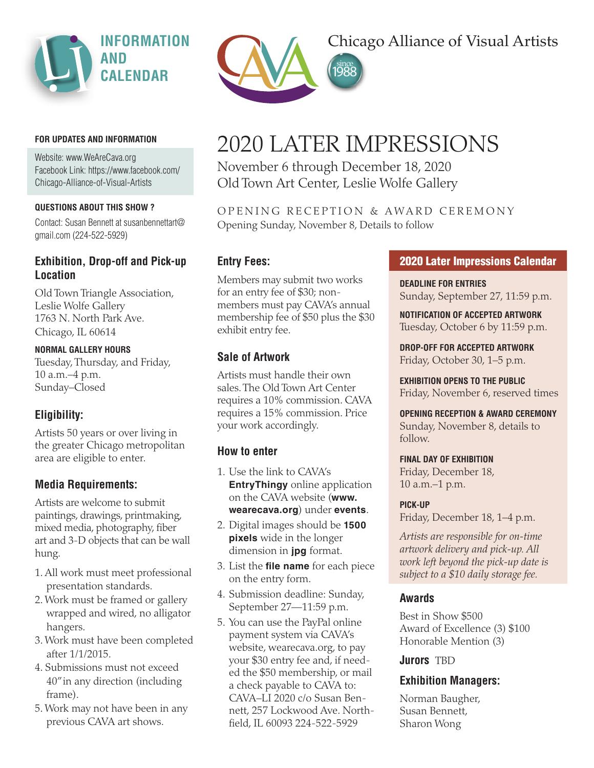

#### **FOR UPDATES AND INFORMATION**

Website: www.WeAreCava.org Facebook Link: https://www.facebook.com/ Chicago-Alliance-of-Visual-Artists

#### **QUESTIONS ABOUT THIS SHOW ?**

Contact: Susan Bennett at susanbennettart@ gmail.com (224-522-5929)

# **Exhibition, Drop-off and Pick-up Location**

Old Town Triangle Association, Leslie Wolfe Gallery 1763 N. North Park Ave. Chicago, IL 60614

# **NORMAL GALLERY HOURS**

Tuesday, Thursday, and Friday, 10 a.m.–4 p.m. Sunday–Closed

# **Eligibility:**

Artists 50 years or over living in the greater Chicago metropolitan area are eligible to enter.

# **Media Requirements:**

Artists are welcome to submit paintings, drawings, printmaking, mixed media, photography, fiber art and 3-D objects that can be wall hung.

- 1. All work must meet professional presentation standards.
- 2. Work must be framed or gallery wrapped and wired, no alligator hangers.
- 3. Work must have been completed after 1/1/2015.
- 4. Submissions must not exceed 40" in any direction (including frame).
- 5. Work may not have been in any previous CAVA art shows.



# Chicago Alliance of Visual Artists

# 2020 LATER IMPRESSIONS

November 6 through December 18, 2020 Old Town Art Center, Leslie Wolfe Gallery

OPENING RECEPTION & AWARD CEREMONY Opening Sunday, November 8, Details to follow

## **Entry Fees:**

Members may submit two works for an entry fee of \$30; nonmembers must pay CAVA's annual membership fee of \$50 plus the \$30 exhibit entry fee.

# **Sale of Artwork**

Artists must handle their own sales. The Old Town Art Center requires a 10% commission. CAVA requires a 15% commission. Price your work accordingly.

#### **How to enter**

- 1. Use the link to CAVA's **EntryThingy** online application on the CAVA website (**www. wearecava.org**) under **events**.
- 2. Digital images should be **1500 pixels** wide in the longer dimension in **jpg** format.
- 3. List the **file name** for each piece on the entry form.
- 4. Submission deadline: Sunday, September 27—11:59 p.m.
- 5. You can use the PayPal online payment system via CAVA's website, wearecava.org, to pay your \$30 entry fee and, if needed the \$50 membership, or mail a check payable to CAVA to: CAVA–LI 2020 c/o Susan Bennett, 257 Lockwood Ave. Northfield, IL 60093 224-522-5929

#### **2020 Later Impressions Calendar**

**DEADLINE FOR ENTRIES** Sunday, September 27, 11:59 p.m.

**NOTIFICATION OF ACCEPTED ARTWORK** Tuesday, October 6 by 11:59 p.m.

**DROP-OFF FOR ACCEPTED ARTWORK** Friday, October 30, 1–5 p.m.

**EXHIBITION OPENS TO THE PUBLIC** Friday, November 6, reserved times

#### **OPENING RECEPTION & AWARD CEREMONY**

Sunday, November 8, details to follow.

#### **FINAL DAY OF EXHIBITION**

Friday, December 18, 10 a.m.–1 p.m.

#### **PICK-UP**

Friday, December 18, 1–4 p.m.

*Artists are responsible for on-time artwork delivery and pick-up. All work left beyond the pick-up date is subject to a \$10 daily storage fee.*

## **Awards**

Best in Show \$500 Award of Excellence (3) \$100 Honorable Mention (3)

#### **Jurors** TBD

## **Exhibition Managers:**

Norman Baugher, Susan Bennett, Sharon Wong